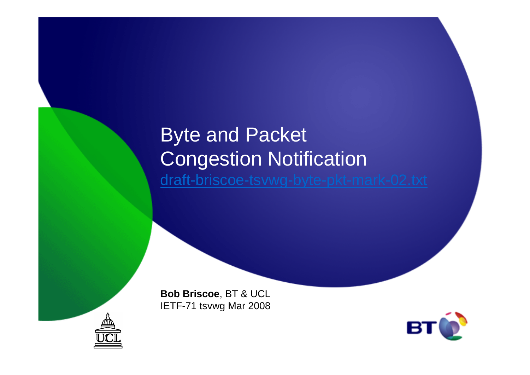## Byte and Packet Congestion Notificationdraft-briscoe-tsvwg-byte-pkt-mark-02.txt

**Bob Briscoe**, BT & UCLIETF-71 tsvwg Mar 2008



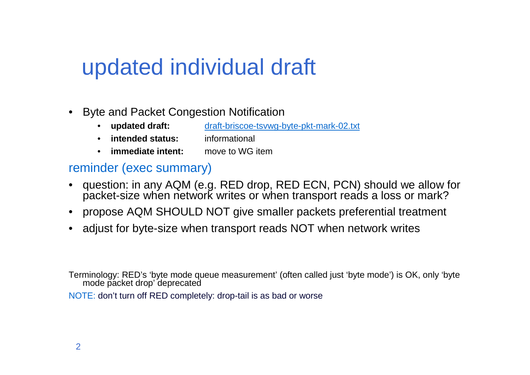# updated individual draft

- • Byte and Packet Congestion Notification
	- **updated draft:** draft-briscoe-tsvwg-byte-pkt-mark-02.txt • updated draft:
	- •**intended status:** informational
	- **immediate intent:** move to WG item

#### reminder (exec summary)

- • question: in any AQM (e.g. RED drop, RED ECN, PCN) should we allow for packet-size when network writes or when transport reads a loss or mark?
- $\bullet$ propose AQM SHOULD NOT give smaller packets preferential treatment
- •adjust for byte-size when transport reads NOT when network writes

Terminology: RED's 'byte mode queue measurement' (often called just 'byte mode') is OK, only 'byte mode packet drop' deprecated

NOTE: don't turn off RED completely: drop-tail is as bad or worse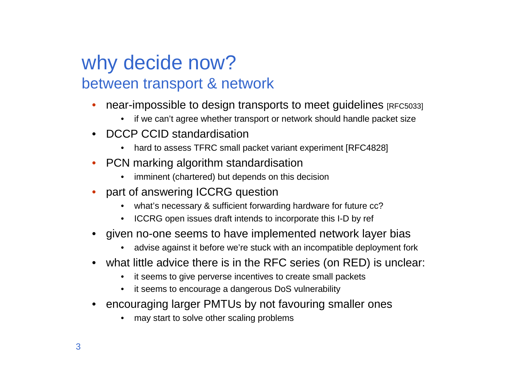### why decide now?between transport & network

- • near-impossible to design transports to meet guidelines [RFC5033]
	- •if we can't agree whether transport or network should handle packet size
- DCCP CCID standardisation
	- hard to assess TFRC small packet variant experiment [RFC4828]
- • PCN marking algorithm standardisation
	- imminent (chartered) but depends on this decision•
- • part of answering ICCRG question
	- what's necessary & sufficient forwarding hardware for future cc?
	- •ICCRG open issues draft intends to incorporate this I-D by ref
- given no-one seems to have implemented network layer bias
	- advise against it before we're stuck with an incompatible deployment fork•
- what little advice there is in the RFC series (on RED) is unclear:
	- it seems to give perverse incentives to create small packets
	- •it seems to encourage a dangerous DoS vulnerability
- • encouraging larger PMTUs by not favouring smaller ones
	- •may start to solve other scaling problems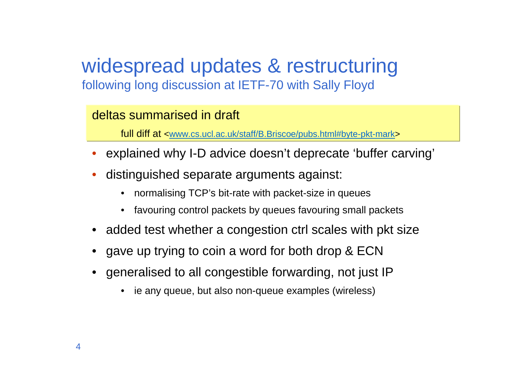#### widespread updates & restructuringfollowing long discussion at IETF-70 with Sally Floyd

#### deltas summarised in draft

full diff at <www.cs.ucl.ac.uk/staff/B.Briscoe/pubs.html#byte-pkt-mark>

- explained why I-D advice doesn't deprecate 'buffer carving'
- • distinguished separate arguments against:
	- •normalising TCP's bit-rate with packet-size in queues
	- •favouring control packets by queues favouring small packets
- added test whether a congestion ctrl scales with pkt size
- gave up trying to coin a word for both drop & ECN
- generalised to all congestible forwarding, not just IP
	- ie any queue, but also non-queue examples (wireless)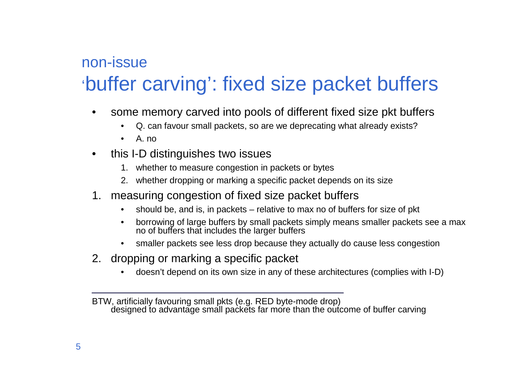### non-issue'buffer carving': fixed size packet buffers

- • some memory carved into pools of different fixed size pkt buffers
	- •Q. can favour small packets, so are we deprecating what already exists?
	- A. no
- • this I-D distinguishes two issues
	- 1. whether to measure congestion in packets or bytes
	- 2. whether dropping or marking a specific packet depends on its size
- 1. measuring congestion of fixed size packet buffers
	- should be, and is, in packets relative to max no of buffers for size of pkt  $\bullet$
	- • borrowing of large buffers by small packets simply means smaller packets see a max no of buffers that includes the larger buffers
	- smaller packets see less drop because they actually do cause less congestion $\bullet$
- 2. dropping or marking a specific packet
	- •doesn't depend on its own size in any of these architectures (complies with I-D)

BTW, artificially favouring small pkts (e.g. RED byte-mode drop) designed to advantage small packets far more than the outcome of buffer carving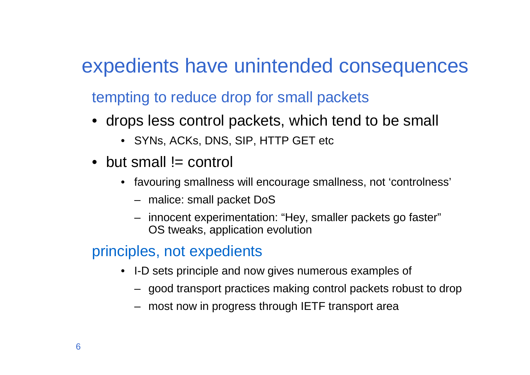## expedients have unintended consequences

tempting to reduce drop for small packets

- drops less control packets, which tend to be small
	- SYNs, ACKs, DNS, SIP, HTTP GET etc
- $\bullet\,$  but small != control
	- favouring smallness will encourage smallness, not 'controlness'
		- malice: small packet DoS
		- innocent experimentation: "Hey, smaller packets go faster"OS tweaks, application evolution

#### principles, not expedients

- I-D sets principle and now gives numerous examples of
	- good transport practices making control packets robust to drop
	- most now in progress through IETF transport area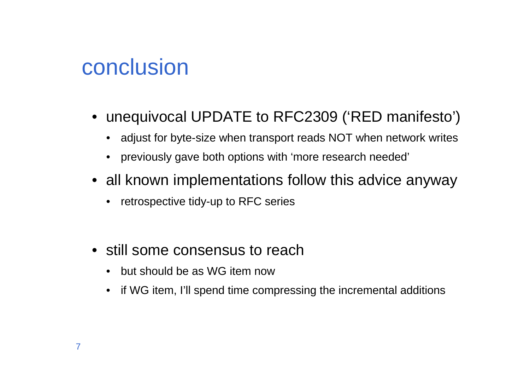# conclusion

- unequivocal UPDATE to RFC2309 ('RED manifesto')
	- adjust for byte-size when transport reads NOT when network writes
	- previously gave both options with 'more research needed'
- all known implementations follow this advice anyway
	- retrospective tidy-up to RFC series
- still some consensus to reach
	- but should be as WG item now
	- $\bullet$ if WG item, I'll spend time compressing the incremental additions